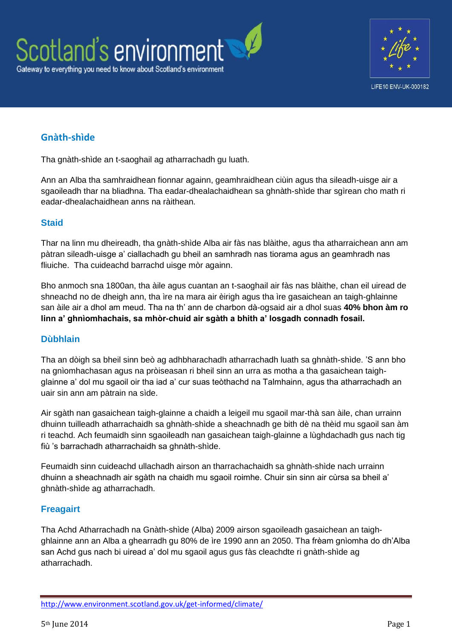



## **Gnàth-shìde**

Tha gnàth-shìde an t-saoghail ag atharrachadh gu luath.

Ann an Alba tha samhraidhean fionnar againn, geamhraidhean ciùin agus tha sileadh-uisge air a sgaoileadh thar na bliadhna. Tha eadar-dhealachaidhean sa ghnàth-shìde thar sgìrean cho math ri eadar-dhealachaidhean anns na ràithean.

## **Staid**

Thar na linn mu dheireadh, tha gnàth-shìde Alba air fàs nas blàithe, agus tha atharraichean ann am pàtran sileadh-uisge a' ciallachadh gu bheil an samhradh nas tiorama agus an geamhradh nas fliuiche. Tha cuideachd barrachd uisge mòr againn.

Bho anmoch sna 1800an, tha àile agus cuantan an t-saoghail air fàs nas blàithe, chan eil uiread de shneachd no de dheigh ann, tha ìre na mara air èirigh agus tha ìre gasaichean an taigh-ghlainne san àile air a dhol am meud. Tha na th' ann de charbon dà-ogsaid air a dhol suas **40% bhon àm ro linn a' ghnìomhachais, sa mhòr-chuid air sgàth a bhith a' losgadh connadh fosail.** 

## **Dùbhlain**

Tha an dòigh sa bheil sinn beò ag adhbharachadh atharrachadh luath sa ghnàth-shìde. 'S ann bho na gnìomhachasan agus na pròiseasan ri bheil sinn an urra as motha a tha gasaichean taighglainne a' dol mu sgaoil oir tha iad a' cur suas teòthachd na Talmhainn, agus tha atharrachadh an uair sin ann am pàtrain na sìde.

Air sgàth nan gasaichean taigh-glainne a chaidh a leigeil mu sgaoil mar-thà san àile, chan urrainn dhuinn tuilleadh atharrachaidh sa ghnàth-shìde a sheachnadh ge bith dè na thèid mu sgaoil san àm ri teachd. Ach feumaidh sinn sgaoileadh nan gasaichean taigh-glainne a lùghdachadh gus nach tig fiù 's barrachadh atharrachaidh sa ghnàth-shìde.

Feumaidh sinn cuideachd ullachadh airson an tharrachachaidh sa ghnàth-shìde nach urrainn dhuinn a sheachnadh air sgàth na chaidh mu sgaoil roimhe. Chuir sin sinn air cùrsa sa bheil a' ghnàth-shìde ag atharrachadh.

## **Freagairt**

Tha Achd Atharrachadh na Gnàth-shìde (Alba) 2009 airson sgaoileadh gasaichean an taighghlainne ann an Alba a ghearradh gu 80% de ìre 1990 ann an 2050. Tha frèam gnìomha do dh'Alba san Achd gus nach bi uiread a' dol mu sgaoil agus gus fàs cleachdte ri gnàth-shìde ag atharrachadh.

<http://www.environment.scotland.gov.uk/get-informed/climate/>